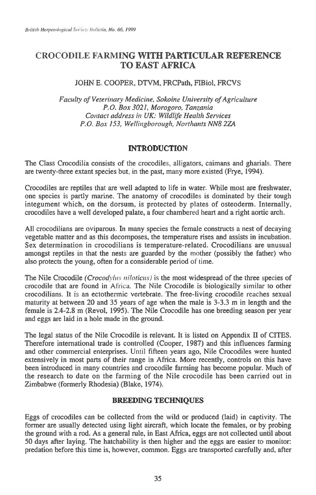# CROCODILE FARMING **WITH PARTICULAR REFERENCE TO EAST AFRICA**

# JOHN E. COOPER, DTVM, FRCPath, FIBiol, FRCVS

*Faculty of Veterinary Medicine, Sokoine University of Agriculture P.O. Box 3021, Morogoro, Tanzania Contact address in UK: Wildlife Health Services P.O. Box 153, Wellingborough, Northants NN8 2ZA* 

### **INTRODUCTION**

The Class Crocodilia consists of the crocodiles, alligators, caimans and gharials. There are twenty-three extant species but, in the past, many more existed (Frye, 1994).

Crocodiles are reptiles that are well adapted to life in water. While most are freshwater, one species is partly marine. The anatomy of crocodiles is dominated by their tough integument which, on the dorsum, is protected by plates of osteoderm. Internally, crocodiles have a well developed palate, a four chambered heart and a right aortic arch.

All crocodilians are oviparous. In many species the female constructs a nest of decaying vegetable matter and as this decomposes, the temperature rises and assists in incubation. Sex determination in crocodilians is temperature-related. Crocodilians are unusual amongst reptiles in that the nests are guarded by the mother (possibly the father) who also protects the young, often for a considerable period of time.

The Nile Crocodile *(Crocodyhts nitoticits)* is the most widespread of the three species of crocodile that are found in Africa. The Nile Crocodile is biologically similar to other crocodilians. It is an ectothermic vertebrate. The free-living crocodile reaches sexual maturity at between 20 and 35 years of age when the male is 3-3.3 m in length and the female is 2.4-2.8 m (Revol, 1995). The Nile Crocodile has one breeding season per year and eggs are laid in a hole made in the ground.

The legal status of the Nile Crocodile is relevant. It is listed on Appendix **II** of CITES. Therefore international trade is controlled (Cooper, 1987) and this influences farming and other commercial enterprises. Until fifteen years ago, Nile Crocodiles were hunted extensively in most parts of their range in Africa. More recently, controls on this have been introduced in many countries and crocodile farming has become popular. Much of the research to date on the farming of the Nile crocodile has been carried out in Zimbabwe (formerly Rhodesia) (Blake, 1974).

# **BREEDING TECHNIQUES**

Eggs of crocodiles can be collected from the wild or produced (laid) in captivity. The former are usually detected using light aircraft, which locate the females, or by probing the ground with a rod. As a general rule, in East Africa, eggs are not collected until about 50 days after laying. The hatchability is then higher and the eggs are easier to monitor: predation before this time is, however, common. Eggs are transported carefully and, after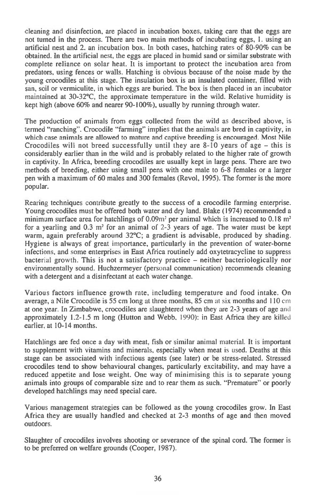cleaning and disinfection, are placed in incubation boxes, taking care that the eggs are not turned in the process. There are two main methods of incubating eggs, 1. using an artificial nest and 2. an incubation box. In both cases, hatching rates of 80-90% can be obtained. In the artificial nest, the eggs are placed in humid sand or similar substrate with complete reliance on solar heat. It is important to protect the incubation area from predators, using fences or walls. Hatching is obvious because of the noise made by the young crocodiles at this stage. The insulation box is an insulated container, filled with san, soil or vermiculite, in which eggs are buried. The box is then placed in an incubator maintained at 30-32°C, the approximate temperature in the wild. Relative humidity is kept high (above 60% and nearer 90-100%), usually by running through water.

The production of animals from eggs collected from the wild as described above, is termed "ranching". Crocodile "farming" implies that the animals are bred in captivity, in which case animals are allowed to mature and captive breeding is encouraged. Most Nile Crocodiles will not breed successfully until they are 8-10 years of age — this is considerably earlier than in the wild and is probably related to the higher rate of growth in captivity. In Africa, breeding crocodiles are usually kept in large pens. There are two methods of breeding, either using small pens with one male to 6-8 females or a larger pen with a maximum of 60 males and 300 females (Revol, 1995). The former is the more popular.

Rearing techniques contribute greatly to the success of a crocodile farming enterprise. Young crocodiles must be offered both water and dry land. Blake (1974) recommended a minimum surface area for hatchlings of  $0.09m<sup>2</sup>$  per animal which is increased to  $0.18 m<sup>2</sup>$ for a yearling and 0.3 m' for an animal of 2-3 years of age. The water must be kept warm, again preferably around 32°C; a gradient is advisable, produced by shading. Hygiene is always of great importance, particularly in the prevention of water-borne infections, and some enterprises in East Africa routinely add oxytetracycline to suppress bacterial growth. This is not a satisfactory practice — neither bacteriologically nor environmentally sound. Huchzermeyer (personal communication) recommends cleaning with a detergent and a disinfectant at each water change.

Various factors influence growth rate, including temperature and food intake. On average, a Nile Crocodile is 55 cm long at three months, 85 cm at six months and 110 cm at one year. In Zimbabwe, crocodiles are slaughtered when they are 2-3 years of age and approximately 1.2-1.5 m long (Hutton and Webb. 1990): in East Africa they are killed earlier, at 10-14 months.

Hatchlings are fed once a day with meat, fish or similar animal material. It is important to supplement with vitamins and minerals, especially when meat is used. Deaths at this stage can be associated with infectious agents (see later) or be stress-related. Stressed crocodiles tend to show behavioural changes, particularly excitability, and may have a reduced appetite and lose weight. One way of minimising this is to separate young animals into groups of comparable size and to rear them as such. "Premature" or poorly developed hatchlings may need special care.

Various management strategies can be followed as the young crocodiles grow. In East Africa they are usually handled and checked at 2-3 months of age and then moved outdoors.

Slaughter of crocodiles involves shooting or severance of the spinal cord. The former is to be preferred on welfare grounds (Cooper, 1987).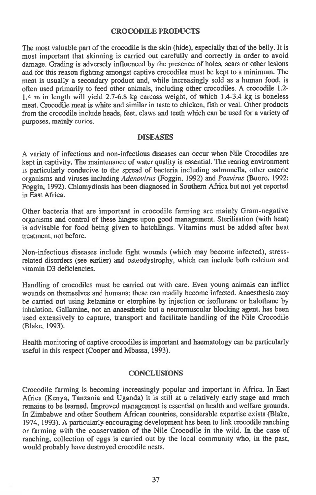### **CROCODILE PRODUCTS**

The most valuable part of the crocodile is the skin (hide), especially that of the belly. It is most important that skinning is carried out carefully and correctly in order to avoid damage. Grading is adversely influenced by the presence of holes, scars or other lesions and for this reason fighting amongst captive crocodiles must be kept to a minimum. The meat is usually a secondary product and, while increasingly sold as a human food, is often used primarily to feed other animals, including other crocodiles. A crocodile 1.2- 1.4 m in length will yield 2.7-6.8 kg carcass weight, of which 1.4-3.4 kg is boneless meat. Crocodile meat is white and similar in taste to chicken, fish or veal. Other products from the crocodile include heads, feet, claws and teeth which can be used for a variety of purposes, mainly curios.

#### **DISEASES**

A variety of infectious and non-infectious diseases can occur when Nile Crocodiles are kept in captivity. The maintenance of water quality is essential. The rearing environment is particularly conducive to the spread of bacteria including salmonella, other enteric organisms and viruses including *Adenovirus* (Foggin, 1992) and *Poxvirus* (Buoro, 1992: Foggin, 1992). Chlamydiosis has been diagnosed in Southern Africa but not yet reported in East Africa.

Other bacteria that are important in crocodile farming are mainly Gram-negative organisms and control of these hinges upon good management. Sterilisation (with heat) is advisable for food being given to hatchlings. Vitamins must be added after heat treatment, not before.

Non-infectious diseases include fight wounds (which may become infected), stressrelated disorders (see earlier) and osteodystrophy, which can include both calcium and vitamin D3 deficiencies.

Handling of crocodiles must be carried out with care. Even young animals can inflict wounds on themselves and humans; these can readily become infected. Anaesthesia may be carried out using ketamine or etorphine by injection or isoflurane or halothane by inhalation. Gallamine, not an anaesthetic but a neuromuscular blocking agent, has been used extensively to capture, transport and facilitate handling of the Nile Crocodile (Blake, 1993).

Health monitoring of captive crocodiles is important and haematology can be particularly useful in this respect (Cooper and Mbassa, 1993).

### **CONCLUSIONS**

Crocodile farming is becoming increasingly popular and important in Africa. In East Africa (Kenya, Tanzania and Uganda) it is still at a relatively early stage and much remains to be learned. Improved management is essential on health and welfare grounds. In Zimbabwe and other Southern African countries, considerable expertise exists (Blake, 1974, 1993). A particularly encouraging development has been to link crocodile ranching or farming with the conservation of the Nile Crocodile in the wild. In the case of ranching, collection of eggs is carried out by the local community who, in the past, would probably have destroyed crocodile nests.